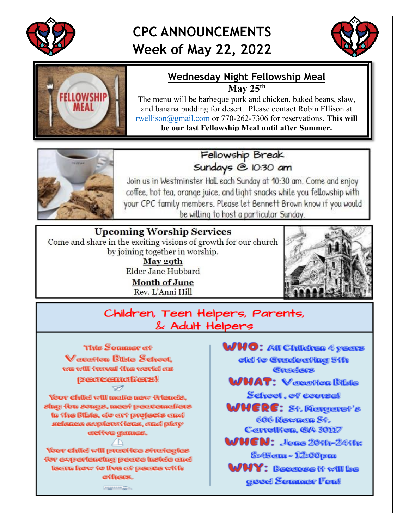

# **CPC ANNOUNCEMENTS Week of May 22, 2022**





### **Wednesday Night Fellowship Meal May 25th**

The menu will be barbeque pork and chicken, baked beans, slaw, and banana pudding for desert. Please contact Robin Ellison at [rwellison@gmail.com](mailto:rwellison@gmail.com) or 770-262-7306 for reservations. **This will** 

**be our last Fellowship Meal until after Summer.**



Fellowship Break Sundays @ 10:30 am

Join us in Westminster Hall each Sunday at 10:30 am. Come and enjoy coffee, hot tea, orange juice, and light snacks while you fellowship with your CPC family members. Please let Bennett Brown know if you would be willing to host a particular Sunday.

### **Upcoming Worship Services** Come and share in the exciting visions of growth for our church by joining together in worship. May 29th

Elder Jane Hubbard

**Month of June** Rev. L'Anni Hill



Children, Teen Helpers, Parents, & Adult Helpers



Your child will make new Ariends. sing fon sengs, meet peacemakers in the Bible, do art projects and science explorations, and play **active games.** 

Your child will practice strategies for experiencing peace inside and learn how to live at peace with others.

**COODDOOD**